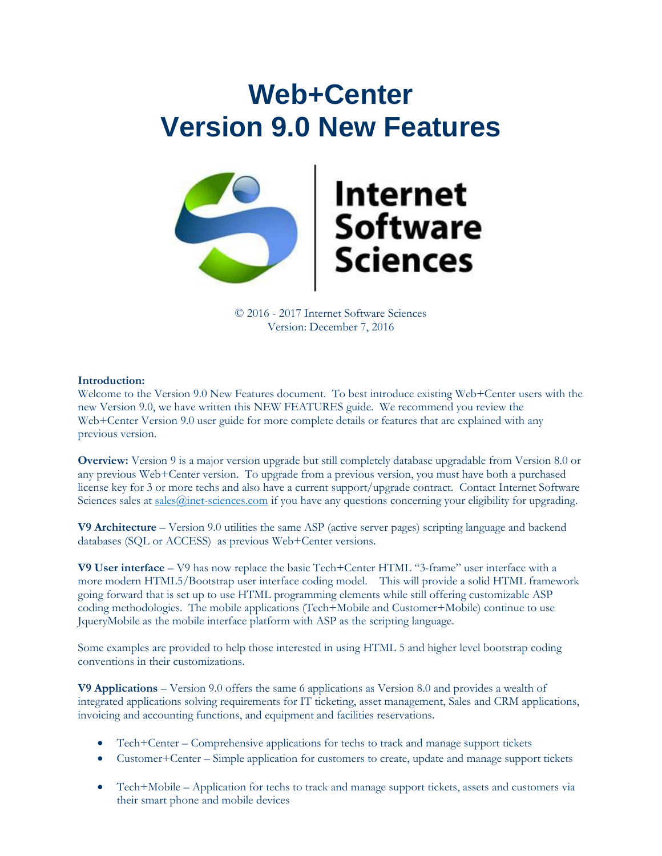# **Web+Center Version 9.0 New Features**



# **Internet<br>Software<br>Sciences**

© 2016 - 2017 Internet Software Sciences Version: December 7, 2016

### **Introduction:**

Welcome to the Version 9.0 New Features document. To best introduce existing Web+Center users with the new Version 9.0, we have written this NEW FEATURES guide. We recommend you review the Web+Center Version 9.0 user guide for more complete details or features that are explained with any previous version.

**Overview:** Version 9 is a major version upgrade but still completely database upgradable from Version 8.0 or any previous Web+Center version. To upgrade from a previous version, you must have both a purchased license key for 3 or more techs and also have a current support/upgrade contract. Contact Internet Software Sciences sales at sales *Q*inet-sciences.com if you have any questions concerning your eligibility for upgrading.

**V9 Architecture** – Version 9.0 utilities the same ASP (active server pages) scripting language and backend databases (SQL or ACCESS) as previous Web+Center versions.

**V9 User interface** – V9 has now replace the basic Tech+Center HTML "3-frame" user interface with a more modern HTML5/Bootstrap user interface coding model. This will provide a solid HTML framework going forward that is set up to use HTML programming elements while still offering customizable ASP coding methodologies. The mobile applications (Tech+Mobile and Customer+Mobile) continue to use JqueryMobile as the mobile interface platform with ASP as the scripting language.

Some examples are provided to help those interested in using HTML 5 and higher level bootstrap coding conventions in their customizations.

**V9 Applications** – Version 9.0 offers the same 6 applications as Version 8.0 and provides a wealth of integrated applications solving requirements for IT ticketing, asset management, Sales and CRM applications, invoicing and accounting functions, and equipment and facilities reservations.

- Tech+Center Comprehensive applications for techs to track and manage support tickets
- Customer+Center Simple application for customers to create, update and manage support tickets
- Tech+Mobile Application for techs to track and manage support tickets, assets and customers via their smart phone and mobile devices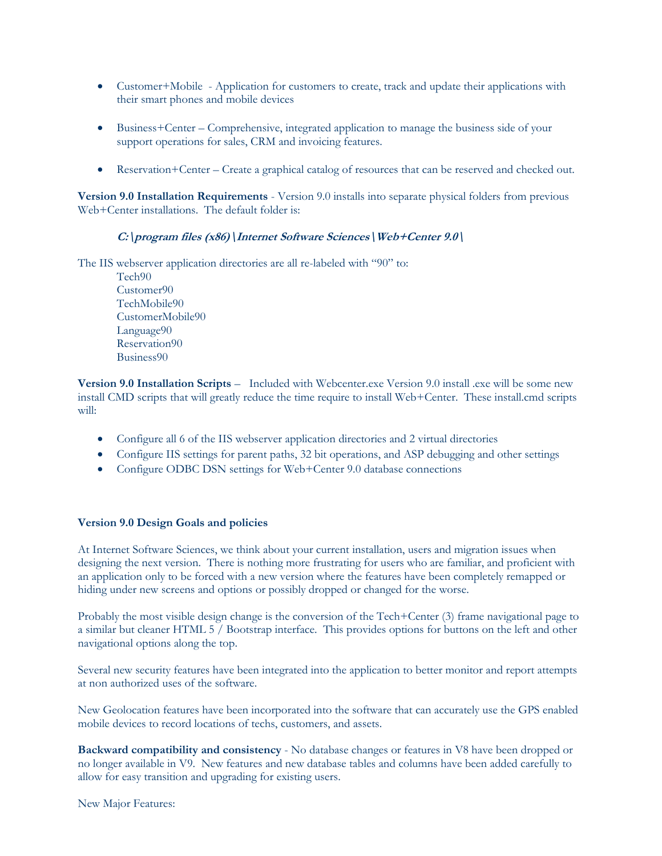- Customer+Mobile Application for customers to create, track and update their applications with their smart phones and mobile devices
- Business+Center Comprehensive, integrated application to manage the business side of your support operations for sales, CRM and invoicing features.
- Reservation+Center Create a graphical catalog of resources that can be reserved and checked out.

**Version 9.0 Installation Requirements** - Version 9.0 installs into separate physical folders from previous Web+Center installations. The default folder is:

### **C:\program files (x86)\Internet Software Sciences\Web+Center 9.0\**

The IIS webserver application directories are all re-labeled with "90" to:

Tech90 Customer90 TechMobile90 CustomerMobile90 Language90 Reservation90 Business90

**Version 9.0 Installation Scripts** – Included with Webcenter.exe Version 9.0 install .exe will be some new install CMD scripts that will greatly reduce the time require to install Web+Center. These install.cmd scripts will:

- Configure all 6 of the IIS webserver application directories and 2 virtual directories
- Configure IIS settings for parent paths, 32 bit operations, and ASP debugging and other settings
- Configure ODBC DSN settings for Web+Center 9.0 database connections

### **Version 9.0 Design Goals and policies**

At Internet Software Sciences, we think about your current installation, users and migration issues when designing the next version. There is nothing more frustrating for users who are familiar, and proficient with an application only to be forced with a new version where the features have been completely remapped or hiding under new screens and options or possibly dropped or changed for the worse.

Probably the most visible design change is the conversion of the Tech+Center (3) frame navigational page to a similar but cleaner HTML 5 / Bootstrap interface. This provides options for buttons on the left and other navigational options along the top.

Several new security features have been integrated into the application to better monitor and report attempts at non authorized uses of the software.

New Geolocation features have been incorporated into the software that can accurately use the GPS enabled mobile devices to record locations of techs, customers, and assets.

**Backward compatibility and consistency** - No database changes or features in V8 have been dropped or no longer available in V9. New features and new database tables and columns have been added carefully to allow for easy transition and upgrading for existing users.

New Major Features: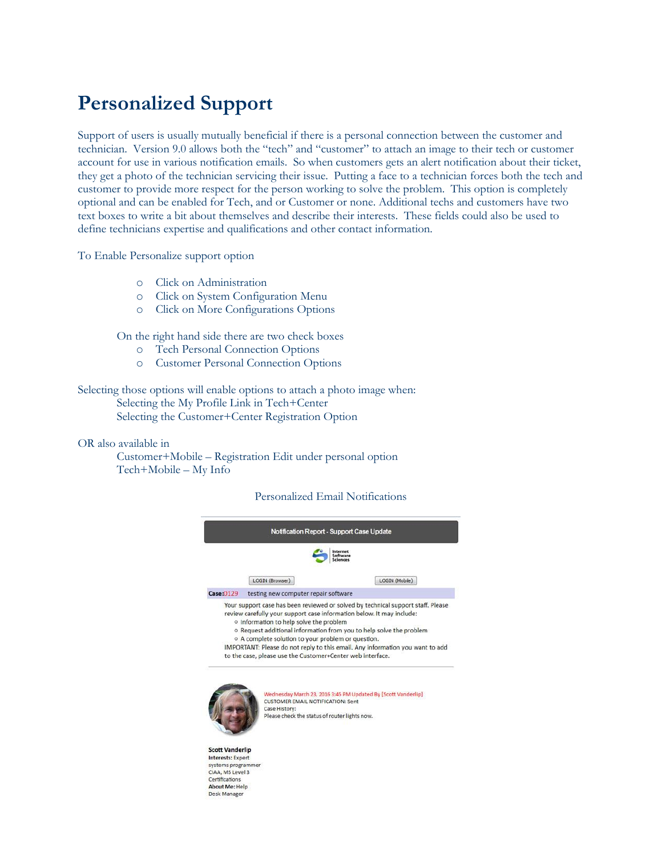# **Personalized Support**

Support of users is usually mutually beneficial if there is a personal connection between the customer and technician. Version 9.0 allows both the "tech" and "customer" to attach an image to their tech or customer account for use in various notification emails. So when customers gets an alert notification about their ticket, they get a photo of the technician servicing their issue. Putting a face to a technician forces both the tech and customer to provide more respect for the person working to solve the problem. This option is completely optional and can be enabled for Tech, and or Customer or none. Additional techs and customers have two text boxes to write a bit about themselves and describe their interests. These fields could also be used to define technicians expertise and qualifications and other contact information.

To Enable Personalize support option

- o Click on Administration
- o Click on System Configuration Menu
- o Click on More Configurations Options

On the right hand side there are two check boxes

- o Tech Personal Connection Options
- o Customer Personal Connection Options

Selecting those options will enable options to attach a photo image when: Selecting the My Profile Link in Tech+Center Selecting the Customer+Center Registration Option

OR also available in

Customer+Mobile – Registration Edit under personal option Tech+Mobile – My Info

### Personalized Email Notifications



**Scott Vanderlin Interests: Expert** systems programme CIAA, MS Level 3 Certifications **About Me: Help** Desk Manager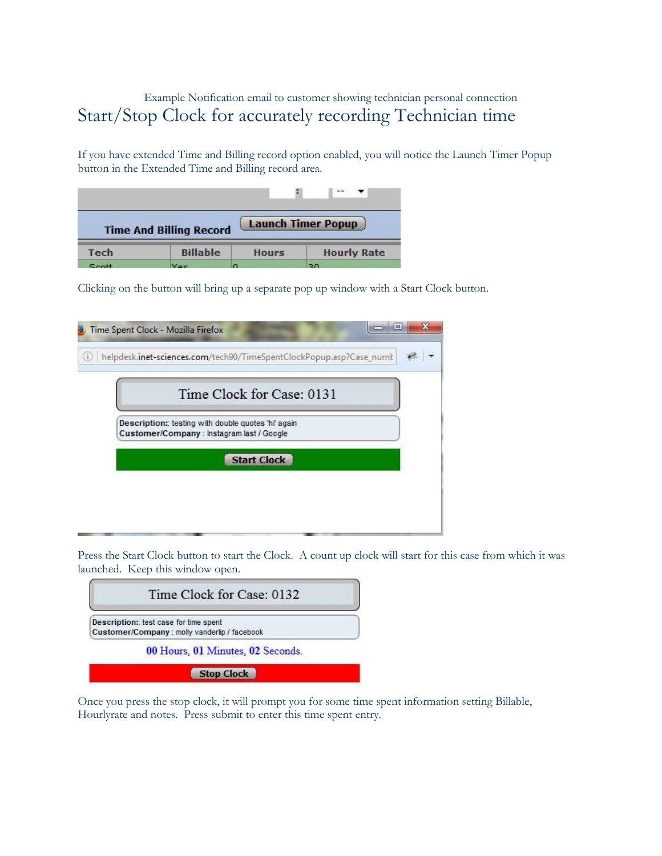# Example Notification email to customer showing technician personal connection Start/Stop Clock for accurately recording Technician time

If you have extended Time and Billing record option enabled, you will notice the Launch Timer Popup button in the Extended Time and Billing record area.

|      | <b>Time And Billing Record</b> |              | <b>Launch Timer Popup</b> |  |  |
|------|--------------------------------|--------------|---------------------------|--|--|
| Tech | <b>Billable</b>                | <b>Hours</b> | <b>Hourly Rate</b>        |  |  |
|      |                                |              | or.                       |  |  |

Clicking on the button will bring up a separate pop up window with a Start Clock button.

| Time Clock for Case: 0131                                                                        |  |
|--------------------------------------------------------------------------------------------------|--|
| Description: testing with double quotes 'hi' again<br>Customer/Company : Instagram last / Google |  |
| <b>Start Clock</b>                                                                               |  |

Press the Start Clock button to start the Clock. A count up clock will start for this case from which it was launched. Keep this window open.



Once you press the stop clock, it will prompt you for some time spent information setting Billable, Hourlyrate and notes. Press submit to enter this time spent entry.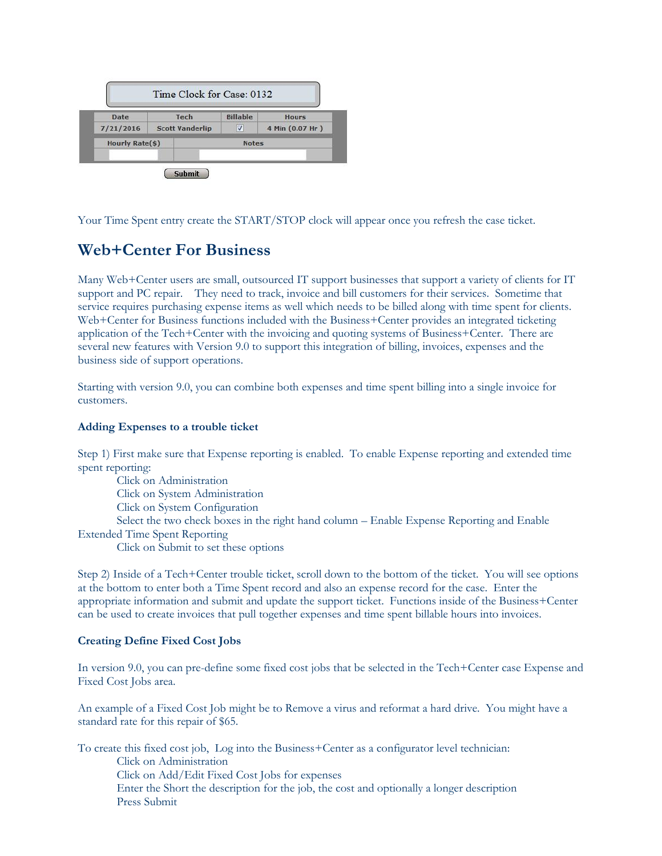| Date                   | Tech                   |              | <b>Billable</b> | <b>Hours</b>    |  |
|------------------------|------------------------|--------------|-----------------|-----------------|--|
| 7/21/2016              | <b>Scott Vanderlip</b> |              | V               | 4 Min (0.07 Hr) |  |
| <b>Hourly Rate(\$)</b> |                        | <b>Notes</b> |                 |                 |  |

Your Time Spent entry create the START/STOP clock will appear once you refresh the case ticket.

# **Web+Center For Business**

Many Web+Center users are small, outsourced IT support businesses that support a variety of clients for IT support and PC repair. They need to track, invoice and bill customers for their services. Sometime that service requires purchasing expense items as well which needs to be billed along with time spent for clients. Web+Center for Business functions included with the Business+Center provides an integrated ticketing application of the Tech+Center with the invoicing and quoting systems of Business+Center. There are several new features with Version 9.0 to support this integration of billing, invoices, expenses and the business side of support operations.

Starting with version 9.0, you can combine both expenses and time spent billing into a single invoice for customers.

### **Adding Expenses to a trouble ticket**

Step 1) First make sure that Expense reporting is enabled. To enable Expense reporting and extended time spent reporting:

Click on Administration Click on System Administration Click on System Configuration Select the two check boxes in the right hand column – Enable Expense Reporting and Enable Extended Time Spent Reporting Click on Submit to set these options

Step 2) Inside of a Tech+Center trouble ticket, scroll down to the bottom of the ticket. You will see options at the bottom to enter both a Time Spent record and also an expense record for the case. Enter the appropriate information and submit and update the support ticket. Functions inside of the Business+Center can be used to create invoices that pull together expenses and time spent billable hours into invoices.

### **Creating Define Fixed Cost Jobs**

In version 9.0, you can pre-define some fixed cost jobs that be selected in the Tech+Center case Expense and Fixed Cost Jobs area.

An example of a Fixed Cost Job might be to Remove a virus and reformat a hard drive. You might have a standard rate for this repair of \$65.

To create this fixed cost job, Log into the Business+Center as a configurator level technician: Click on Administration Click on Add/Edit Fixed Cost Jobs for expenses Enter the Short the description for the job, the cost and optionally a longer description Press Submit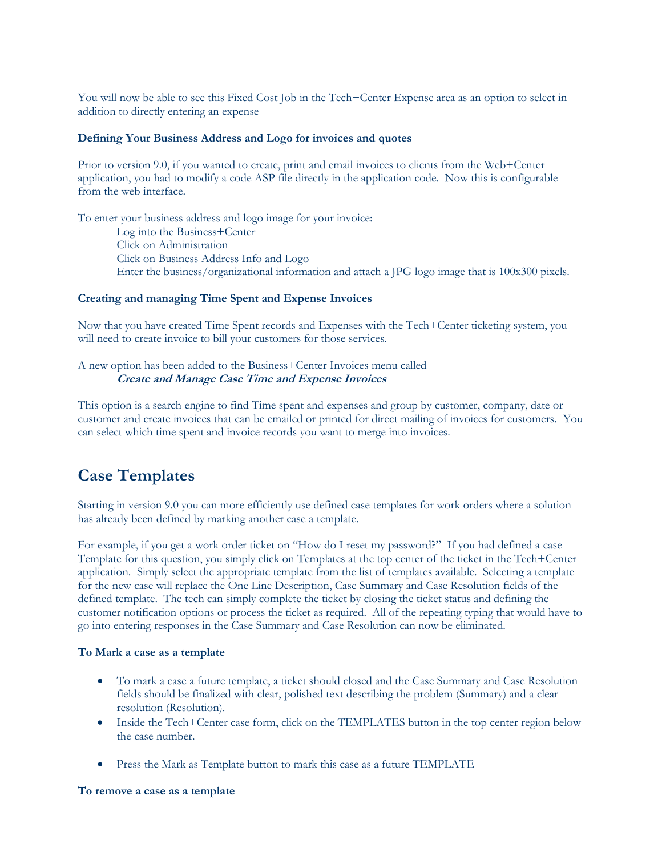You will now be able to see this Fixed Cost Job in the Tech+Center Expense area as an option to select in addition to directly entering an expense

### **Defining Your Business Address and Logo for invoices and quotes**

Prior to version 9.0, if you wanted to create, print and email invoices to clients from the Web+Center application, you had to modify a code ASP file directly in the application code. Now this is configurable from the web interface.

To enter your business address and logo image for your invoice: Log into the Business+Center Click on Administration Click on Business Address Info and Logo Enter the business/organizational information and attach a JPG logo image that is 100x300 pixels.

### **Creating and managing Time Spent and Expense Invoices**

Now that you have created Time Spent records and Expenses with the Tech+Center ticketing system, you will need to create invoice to bill your customers for those services.

A new option has been added to the Business+Center Invoices menu called **Create and Manage Case Time and Expense Invoices**

This option is a search engine to find Time spent and expenses and group by customer, company, date or customer and create invoices that can be emailed or printed for direct mailing of invoices for customers. You can select which time spent and invoice records you want to merge into invoices.

## **Case Templates**

Starting in version 9.0 you can more efficiently use defined case templates for work orders where a solution has already been defined by marking another case a template.

For example, if you get a work order ticket on "How do I reset my password?" If you had defined a case Template for this question, you simply click on Templates at the top center of the ticket in the Tech+Center application. Simply select the appropriate template from the list of templates available. Selecting a template for the new case will replace the One Line Description, Case Summary and Case Resolution fields of the defined template. The tech can simply complete the ticket by closing the ticket status and defining the customer notification options or process the ticket as required. All of the repeating typing that would have to go into entering responses in the Case Summary and Case Resolution can now be eliminated.

### **To Mark a case as a template**

- To mark a case a future template, a ticket should closed and the Case Summary and Case Resolution fields should be finalized with clear, polished text describing the problem (Summary) and a clear resolution (Resolution).
- Inside the Tech+Center case form, click on the TEMPLATES button in the top center region below the case number.
- Press the Mark as Template button to mark this case as a future TEMPLATE

### **To remove a case as a template**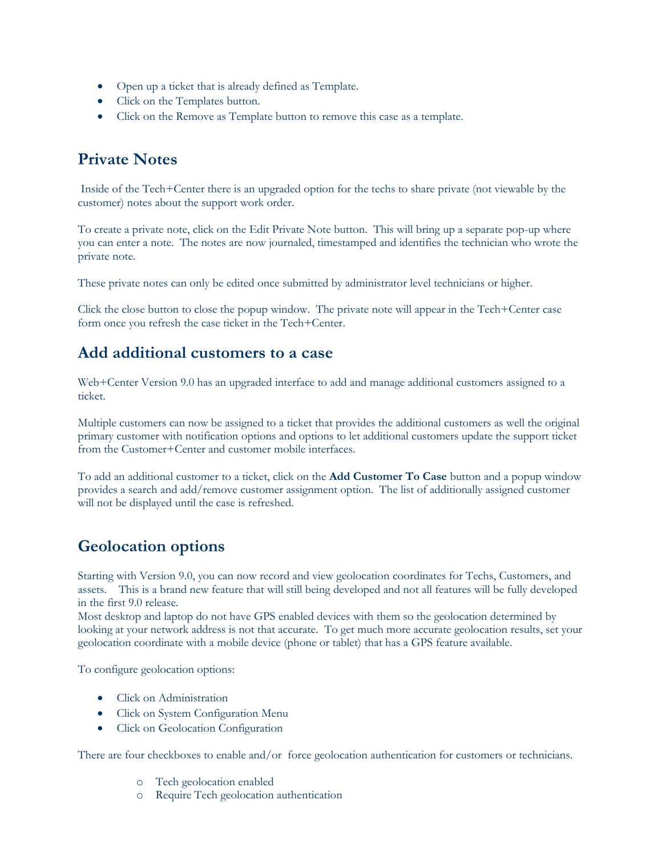- Open up a ticket that is already defined as Template.
- Click on the Templates button.
- Click on the Remove as Template button to remove this case as a template.

# **Private Notes**

Inside of the Tech+Center there is an upgraded option for the techs to share private (not viewable by the customer) notes about the support work order.

To create a private note, click on the Edit Private Note button. This will bring up a separate pop-up where you can enter a note. The notes are now journaled, timestamped and identifies the technician who wrote the private note.

These private notes can only be edited once submitted by administrator level technicians or higher.

Click the close button to close the popup window. The private note will appear in the Tech+Center case form once you refresh the case ticket in the Tech+Center.

# **Add additional customers to a case**

Web+Center Version 9.0 has an upgraded interface to add and manage additional customers assigned to a ticket.

Multiple customers can now be assigned to a ticket that provides the additional customers as well the original primary customer with notification options and options to let additional customers update the support ticket from the Customer+Center and customer mobile interfaces.

To add an additional customer to a ticket, click on the **Add Customer To Case** button and a popup window provides a search and add/remove customer assignment option. The list of additionally assigned customer will not be displayed until the case is refreshed.

# **Geolocation options**

Starting with Version 9.0, you can now record and view geolocation coordinates for Techs, Customers, and assets. This is a brand new feature that will still being developed and not all features will be fully developed in the first 9.0 release.

Most desktop and laptop do not have GPS enabled devices with them so the geolocation determined by looking at your network address is not that accurate. To get much more accurate geolocation results, set your geolocation coordinate with a mobile device (phone or tablet) that has a GPS feature available.

To configure geolocation options:

- Click on Administration
- Click on System Configuration Menu
- Click on Geolocation Configuration

There are four checkboxes to enable and/or force geolocation authentication for customers or technicians.

- o Tech geolocation enabled
- o Require Tech geolocation authentication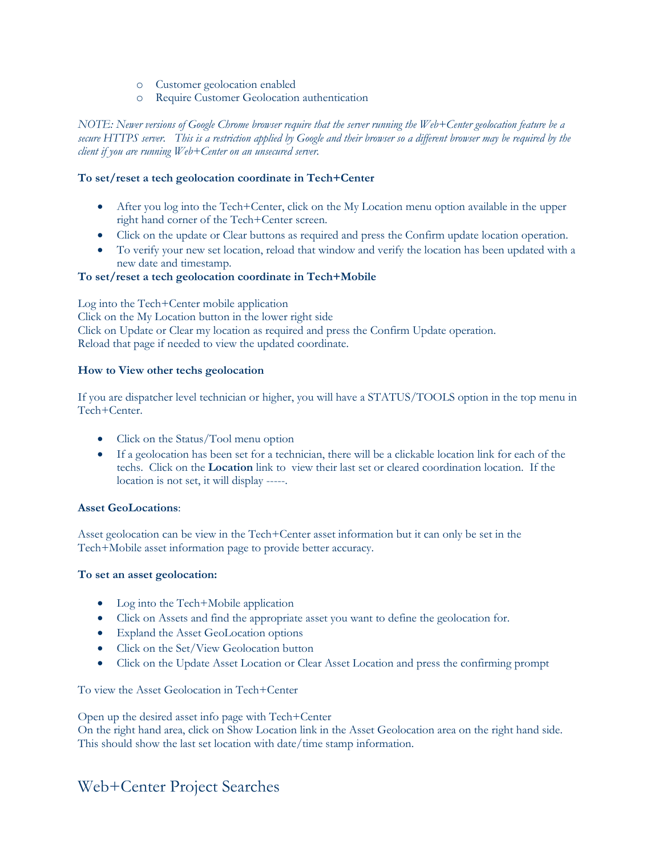- o Customer geolocation enabled
- o Require Customer Geolocation authentication

*NOTE: Newer versions of Google Chrome browser require that the server running the Web+Center geolocation feature be a secure HTTPS server. This is a restriction applied by Google and their browser so a different browser may be required by the client if you are running Web+Center on an unsecured server.*

### **To set/reset a tech geolocation coordinate in Tech+Center**

- After you log into the Tech+Center, click on the My Location menu option available in the upper right hand corner of the Tech+Center screen.
- Click on the update or Clear buttons as required and press the Confirm update location operation.
- To verify your new set location, reload that window and verify the location has been updated with a new date and timestamp.

### **To set/reset a tech geolocation coordinate in Tech+Mobile**

Log into the Tech+Center mobile application Click on the My Location button in the lower right side Click on Update or Clear my location as required and press the Confirm Update operation. Reload that page if needed to view the updated coordinate.

### **How to View other techs geolocation**

If you are dispatcher level technician or higher, you will have a STATUS/TOOLS option in the top menu in Tech+Center.

- Click on the Status/Tool menu option
- If a geolocation has been set for a technician, there will be a clickable location link for each of the techs. Click on the **Location** link to view their last set or cleared coordination location. If the location is not set, it will display -----.

### **Asset GeoLocations**:

Asset geolocation can be view in the Tech+Center asset information but it can only be set in the Tech+Mobile asset information page to provide better accuracy.

### **To set an asset geolocation:**

- Log into the Tech+Mobile application
- Click on Assets and find the appropriate asset you want to define the geolocation for.
- Expland the Asset GeoLocation options
- Click on the Set/View Geolocation button
- Click on the Update Asset Location or Clear Asset Location and press the confirming prompt

To view the Asset Geolocation in Tech+Center

Open up the desired asset info page with Tech+Center

On the right hand area, click on Show Location link in the Asset Geolocation area on the right hand side. This should show the last set location with date/time stamp information.

# Web+Center Project Searches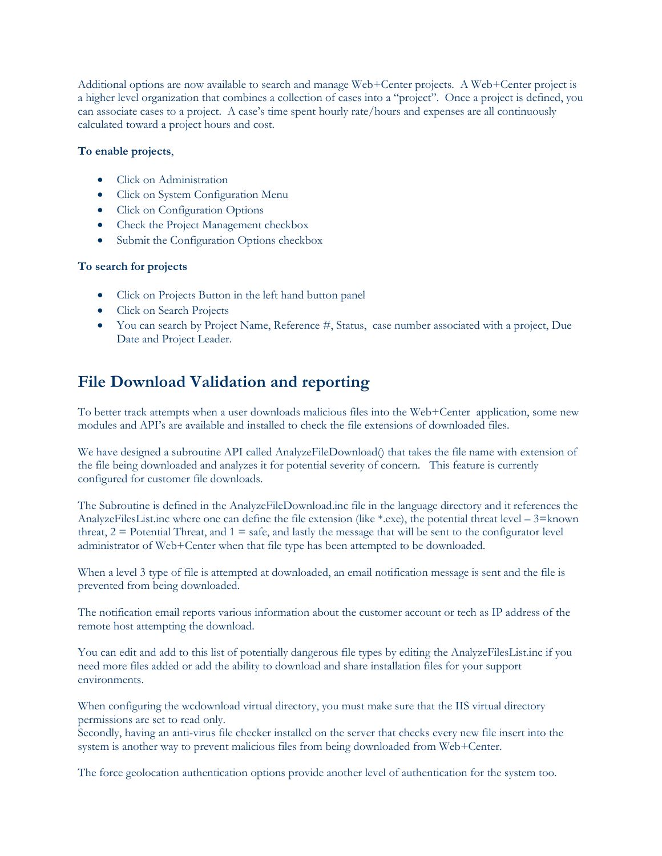Additional options are now available to search and manage Web+Center projects. A Web+Center project is a higher level organization that combines a collection of cases into a "project". Once a project is defined, you can associate cases to a project. A case's time spent hourly rate/hours and expenses are all continuously calculated toward a project hours and cost.

### **To enable projects**,

- Click on Administration
- Click on System Configuration Menu
- Click on Configuration Options
- Check the Project Management checkbox
- Submit the Configuration Options checkbox

### **To search for projects**

- Click on Projects Button in the left hand button panel
- Click on Search Projects
- You can search by Project Name, Reference #, Status, case number associated with a project, Due Date and Project Leader.

# **File Download Validation and reporting**

To better track attempts when a user downloads malicious files into the Web+Center application, some new modules and API's are available and installed to check the file extensions of downloaded files.

We have designed a subroutine API called AnalyzeFileDownload() that takes the file name with extension of the file being downloaded and analyzes it for potential severity of concern. This feature is currently configured for customer file downloads.

The Subroutine is defined in the AnalyzeFileDownload.inc file in the language directory and it references the AnalyzeFilesList.inc where one can define the file extension (like  $*$ .exe), the potential threat level – 3=known threat,  $2 =$  Potential Threat, and  $1 =$  safe, and lastly the message that will be sent to the configurator level administrator of Web+Center when that file type has been attempted to be downloaded.

When a level 3 type of file is attempted at downloaded, an email notification message is sent and the file is prevented from being downloaded.

The notification email reports various information about the customer account or tech as IP address of the remote host attempting the download.

You can edit and add to this list of potentially dangerous file types by editing the AnalyzeFilesList.inc if you need more files added or add the ability to download and share installation files for your support environments.

When configuring the wcdownload virtual directory, you must make sure that the IIS virtual directory permissions are set to read only.

Secondly, having an anti-virus file checker installed on the server that checks every new file insert into the system is another way to prevent malicious files from being downloaded from Web+Center.

The force geolocation authentication options provide another level of authentication for the system too.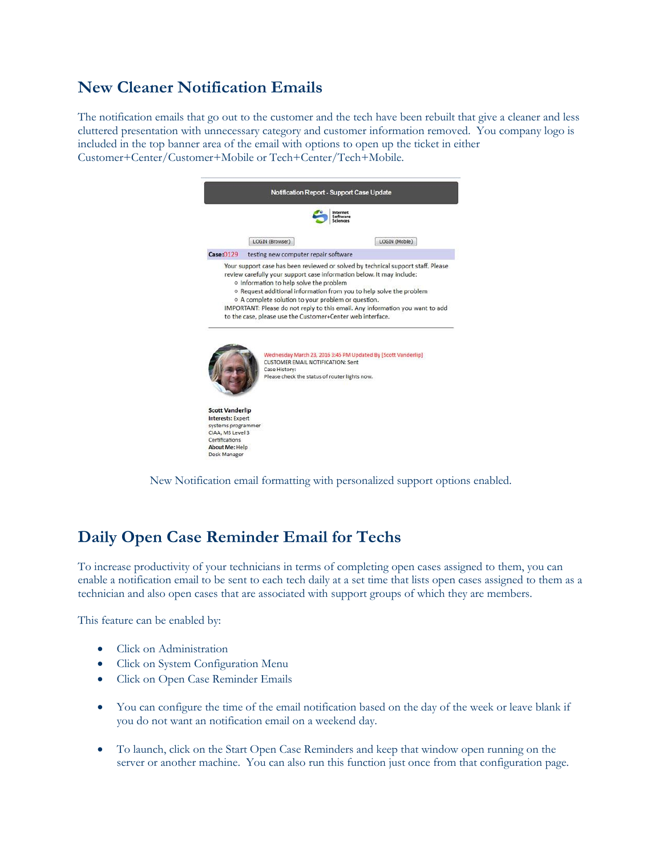# **New Cleaner Notification Emails**

The notification emails that go out to the customer and the tech have been rebuilt that give a cleaner and less cluttered presentation with unnecessary category and customer information removed. You company logo is included in the top banner area of the email with options to open up the ticket in either Customer+Center/Customer+Mobile or Tech+Center/Tech+Mobile.

|                                    | LOGIN (Browser)                                                                                                  | LOGIN (Mobile)                                                                                                                                       |
|------------------------------------|------------------------------------------------------------------------------------------------------------------|------------------------------------------------------------------------------------------------------------------------------------------------------|
| Case:0129                          | testing new computer repair software                                                                             |                                                                                                                                                      |
|                                    | o A complete solution to your problem or question.<br>to the case, please use the Customer+Center web interface. | o Request additional information from you to help solve the problem<br>IMPORTANT: Please do not reply to this email. Any information you want to add |
|                                    |                                                                                                                  | Wednesday March 23, 2016 3:45 PM Updated By [Scott Vanderlip]                                                                                        |
|                                    | <b>CUSTOMER EMAIL NOTIFICATION: Sent</b><br>Case History:<br>Please check the status of router lights now.       |                                                                                                                                                      |
| <b>Scott Vanderlip</b>             |                                                                                                                  |                                                                                                                                                      |
| <b>Interests: Expert</b>           |                                                                                                                  |                                                                                                                                                      |
| systems programmer                 |                                                                                                                  |                                                                                                                                                      |
| CIAA, MS Level 3<br>Certifications |                                                                                                                  |                                                                                                                                                      |
| About Me: Help                     |                                                                                                                  |                                                                                                                                                      |

New Notification email formatting with personalized support options enabled.

# **Daily Open Case Reminder Email for Techs**

To increase productivity of your technicians in terms of completing open cases assigned to them, you can enable a notification email to be sent to each tech daily at a set time that lists open cases assigned to them as a technician and also open cases that are associated with support groups of which they are members.

This feature can be enabled by:

- Click on Administration
- Click on System Configuration Menu
- Click on Open Case Reminder Emails
- You can configure the time of the email notification based on the day of the week or leave blank if you do not want an notification email on a weekend day.
- To launch, click on the Start Open Case Reminders and keep that window open running on the server or another machine. You can also run this function just once from that configuration page.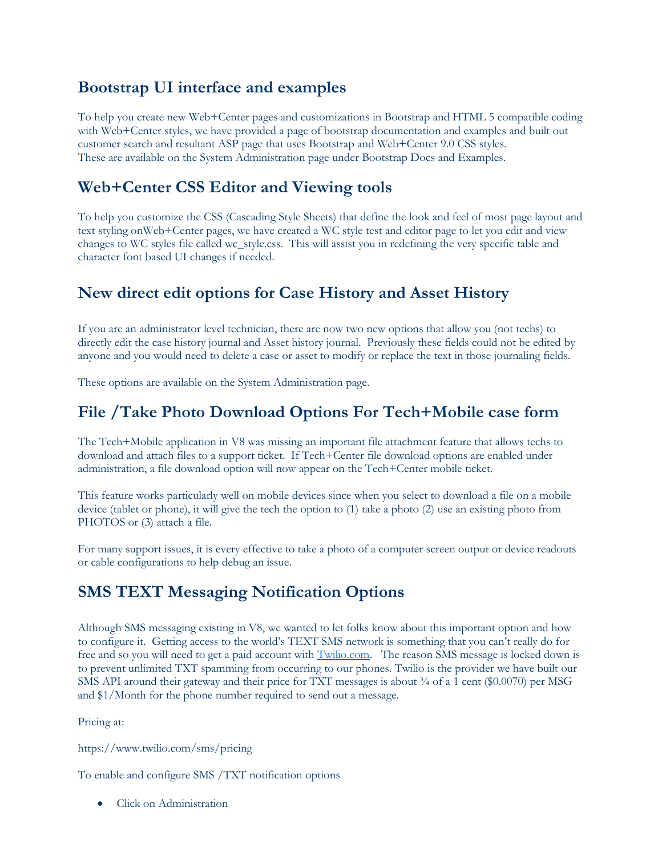# **Bootstrap UI interface and examples**

To help you create new Web+Center pages and customizations in Bootstrap and HTML 5 compatible coding with Web+Center styles, we have provided a page of bootstrap documentation and examples and built out customer search and resultant ASP page that uses Bootstrap and Web+Center 9.0 CSS styles. These are available on the System Administration page under Bootstrap Docs and Examples.

# **Web+Center CSS Editor and Viewing tools**

To help you customize the CSS (Cascading Style Sheets) that define the look and feel of most page layout and text styling onWeb+Center pages, we have created a WC style test and editor page to let you edit and view changes to WC styles file called wc\_style.css. This will assist you in redefining the very specific table and character font based UI changes if needed.

# **New direct edit options for Case History and Asset History**

If you are an administrator level technician, there are now two new options that allow you (not techs) to directly edit the case history journal and Asset history journal. Previously these fields could not be edited by anyone and you would need to delete a case or asset to modify or replace the text in those journaling fields.

These options are available on the System Administration page.

# **File /Take Photo Download Options For Tech+Mobile case form**

The Tech+Mobile application in V8 was missing an important file attachment feature that allows techs to download and attach files to a support ticket. If Tech+Center file download options are enabled under administration, a file download option will now appear on the Tech+Center mobile ticket.

This feature works particularly well on mobile devices since when you select to download a file on a mobile device (tablet or phone), it will give the tech the option to (1) take a photo (2) use an existing photo from PHOTOS or (3) attach a file.

For many support issues, it is every effective to take a photo of a computer screen output or device readouts or cable configurations to help debug an issue.

# **SMS TEXT Messaging Notification Options**

Although SMS messaging existing in V8, we wanted to let folks know about this important option and how to configure it. Getting access to the world's TEXT SMS network is something that you can't really do for free and so you will need to get a paid account with [Twilio.com.](https://www.twilio.com/) The reason SMS message is locked down is to prevent unlimited TXT spamming from occurring to our phones. Twilio is the provider we have built our SMS API around their gateway and their price for TXT messages is about  $\frac{3}{4}$  of a 1 cent (\$0.0070) per MSG and \$1/Month for the phone number required to send out a message.

Pricing at:

https://www.twilio.com/sms/pricing

To enable and configure SMS /TXT notification options

Click on Administration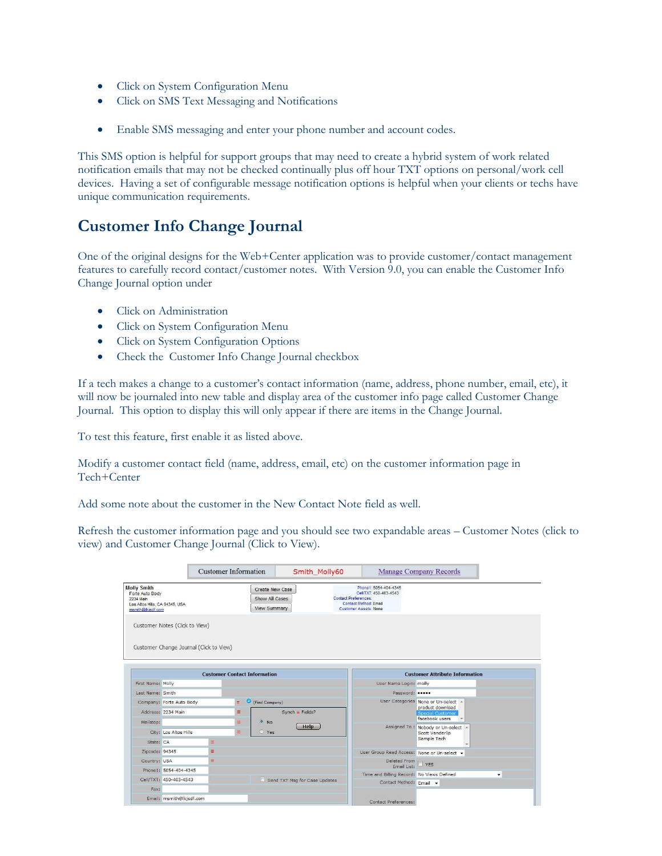- Click on System Configuration Menu
- Click on SMS Text Messaging and Notifications
- Enable SMS messaging and enter your phone number and account codes.

This SMS option is helpful for support groups that may need to create a hybrid system of work related notification emails that may not be checked continually plus off hour TXT options on personal/work cell devices. Having a set of configurable message notification options is helpful when your clients or techs have unique communication requirements.

# **Customer Info Change Journal**

One of the original designs for the Web+Center application was to provide customer/contact management features to carefully record contact/customer notes. With Version 9.0, you can enable the Customer Info Change Journal option under

- Click on Administration
- Click on System Configuration Menu
- Click on System Configuration Options
- Check the Customer Info Change Journal checkbox

If a tech makes a change to a customer's contact information (name, address, phone number, email, etc), it will now be journaled into new table and display area of the customer info page called Customer Change Journal. This option to display this will only appear if there are items in the Change Journal.

To test this feature, first enable it as listed above.

Modify a customer contact field (name, address, email, etc) on the customer information page in Tech+Center

Add some note about the customer in the New Contact Note field as well.

Refresh the customer information page and you should see two expandable areas – Customer Notes (click to view) and Customer Change Journal (Click to View).

|                                                                         |                                         | <b>Customer Information</b>         |                  | Smith Molly60                                     |                                                                                                                                                | Manage Company Records                              |
|-------------------------------------------------------------------------|-----------------------------------------|-------------------------------------|------------------|---------------------------------------------------|------------------------------------------------------------------------------------------------------------------------------------------------|-----------------------------------------------------|
| <b>Molly Smith</b><br>Forte Auto Body<br>2234 Main<br>msmith@lkjsdf.com | Los Altos Hills, CA 94345, USA          |                                     |                  | Create New Case<br>Show All Cases<br>View Summary | Phone1: 5054-404-4345<br>Cell/TXT: 450-403-4543<br><b>Contact Preferences:</b><br><b>Contact Method: Email</b><br><b>Customer Assets: None</b> |                                                     |
|                                                                         | Customer Notes (Click to View)          |                                     |                  |                                                   |                                                                                                                                                |                                                     |
|                                                                         | Customer Change Journal (Click to View) |                                     |                  |                                                   |                                                                                                                                                |                                                     |
|                                                                         |                                         |                                     |                  |                                                   |                                                                                                                                                |                                                     |
|                                                                         |                                         | <b>Customer Contact Information</b> |                  |                                                   |                                                                                                                                                | <b>Customer Attribute Information</b>               |
| First Name: Molly                                                       |                                         |                                     |                  |                                                   | User Name Login: molly                                                                                                                         |                                                     |
| Last Name: Smith                                                        |                                         |                                     |                  |                                                   | Password: •••••                                                                                                                                |                                                     |
|                                                                         | Company: Forte Auto Body                |                                     | $\equiv$         | (Find Company)                                    |                                                                                                                                                | User Categories None or Un-select A                 |
|                                                                         | Address: 2234 Main                      |                                     | ≡                | Synch = Fields?                                   |                                                                                                                                                | product download<br>Special Customer                |
| Mailstop:                                                               |                                         |                                     | Ξ                | O No                                              |                                                                                                                                                | facebook users                                      |
|                                                                         |                                         |                                     | Help<br>Yes<br>≡ |                                                   |                                                                                                                                                | Assigned To: Nobody or Un-select<br>Scott Vanderlip |
|                                                                         | City: Los Altos Hills                   |                                     |                  |                                                   |                                                                                                                                                |                                                     |
| State: CA                                                               |                                         | Ξ                                   |                  |                                                   |                                                                                                                                                | Sample Tech                                         |
| Zipcode: 94345                                                          |                                         | Ξ                                   |                  |                                                   | User Group Read Access: None or Un-select v                                                                                                    |                                                     |
| Country: USA                                                            |                                         | Ξ                                   |                  |                                                   | Deleted From                                                                                                                                   |                                                     |
|                                                                         | Phone1: 5054-404-4345                   |                                     |                  |                                                   | Email List:                                                                                                                                    | $\Box$ YES                                          |
|                                                                         | Cell/TXT: 450-403-4543                  |                                     |                  | Send TXT Msg for Case Updates                     | Time and Billing Record: No Views Defined                                                                                                      | $\checkmark$                                        |
| Fax:                                                                    |                                         |                                     |                  |                                                   | Contact Method: Email v                                                                                                                        |                                                     |